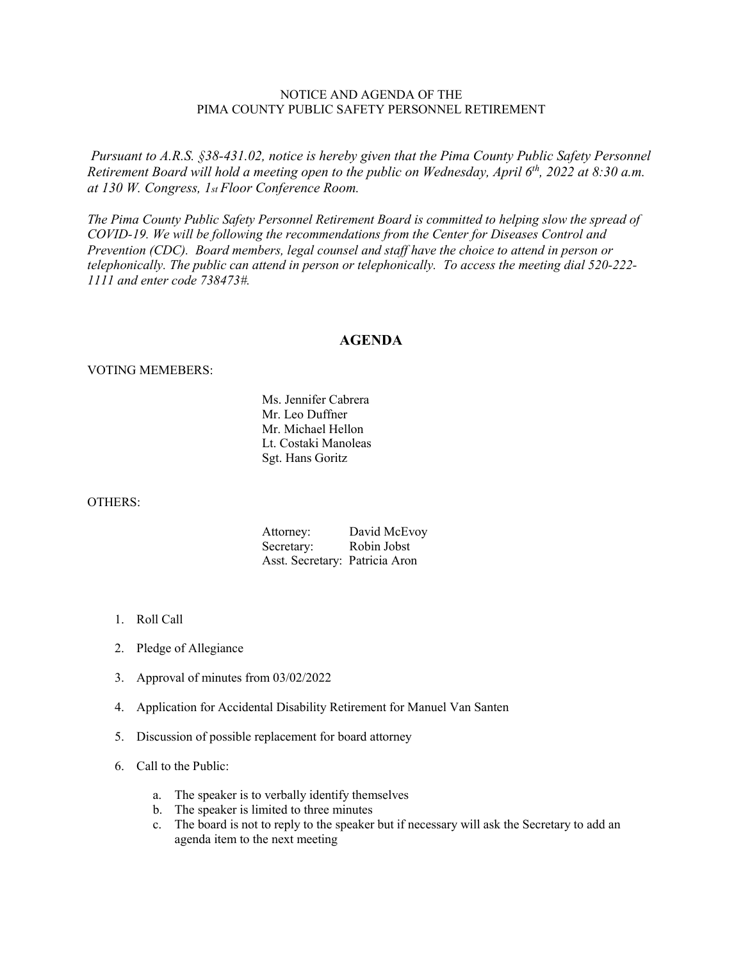# NOTICE AND AGENDA OF THE PIMA COUNTY PUBLIC SAFETY PERSONNEL RETIREMENT

*Pursuant to A.R.S. §38-431.02, notice is hereby given that the Pima County Public Safety Personnel Retirement Board will hold a meeting open to the public on Wednesday, April 6th, 2022 at 8:30 a.m. at 130 W. Congress, 1st Floor Conference Room.*

*The Pima County Public Safety Personnel Retirement Board is committed to helping slow the spread of COVID-19. We will be following the recommendations from the Center for Diseases Control and Prevention (CDC). Board members, legal counsel and staff have the choice to attend in person or telephonically. The public can attend in person or telephonically. To access the meeting dial 520-222- 1111 and enter code 738473#.*

### **AGENDA**

### VOTING MEMEBERS:

Ms. Jennifer Cabrera Mr. Leo Duffner Mr. Michael Hellon Lt. Costaki Manoleas Sgt. Hans Goritz

#### OTHERS:

| Attorney:                      | David McEvoy |
|--------------------------------|--------------|
| Secretary:                     | Robin Jobst  |
| Asst. Secretary: Patricia Aron |              |

- 1. Roll Call
- 2. Pledge of Allegiance
- 3. Approval of minutes from 03/02/2022
- 4. Application for Accidental Disability Retirement for Manuel Van Santen
- 5. Discussion of possible replacement for board attorney
- 6. Call to the Public:
	- a. The speaker is to verbally identify themselves
	- b. The speaker is limited to three minutes
	- c. The board is not to reply to the speaker but if necessary will ask the Secretary to add an agenda item to the next meeting